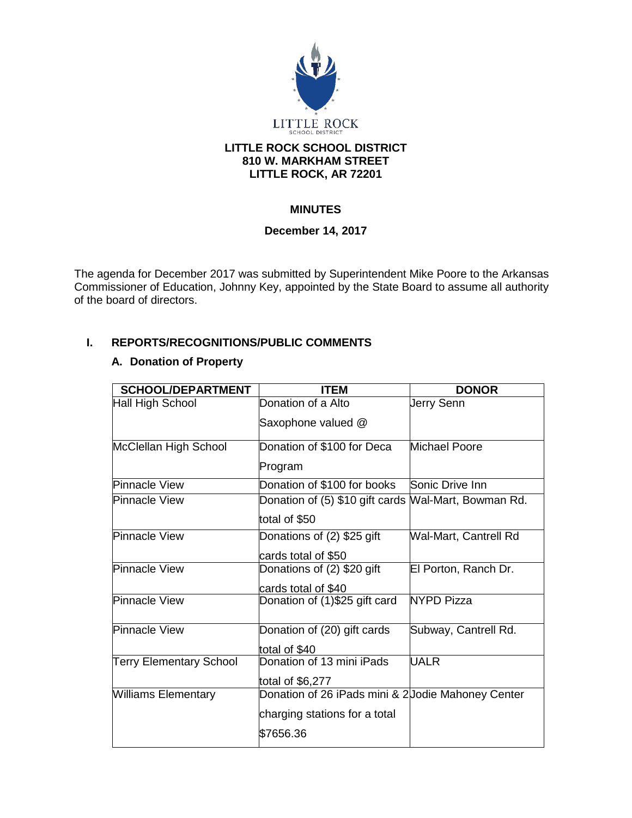

## **LITTLE ROCK SCHOOL DISTRICT 810 W. MARKHAM STREET LITTLE ROCK, AR 72201**

# **MINUTES**

# **December 14, 2017**

The agenda for December 2017 was submitted by Superintendent Mike Poore to the Arkansas Commissioner of Education, Johnny Key, appointed by the State Board to assume all authority of the board of directors.

# **I. REPORTS/RECOGNITIONS/PUBLIC COMMENTS**

# **A. Donation of Property**

| <b>SCHOOL/DEPARTMENT</b>       | <b>ITEM</b>                                          | <b>DONOR</b>          |
|--------------------------------|------------------------------------------------------|-----------------------|
| Hall High School               | Donation of a Alto                                   | Jerry Senn            |
|                                | Saxophone valued @                                   |                       |
| McClellan High School          | Donation of \$100 for Deca                           | Michael Poore         |
|                                | Program                                              |                       |
| <b>Pinnacle View</b>           | Donation of \$100 for books                          | Sonic Drive Inn       |
| <b>Pinnacle View</b>           | Donation of (5) \$10 gift cards Mal-Mart, Bowman Rd. |                       |
|                                | total of \$50                                        |                       |
| <b>Pinnacle View</b>           | Donations of (2) \$25 gift                           | Wal-Mart, Cantrell Rd |
|                                | cards total of \$50                                  |                       |
| <b>Pinnacle View</b>           | Donations of (2) \$20 gift                           | El Porton, Ranch Dr.  |
|                                | cards total of \$40                                  |                       |
| <b>Pinnacle View</b>           | Donation of (1)\$25 gift card                        | <b>NYPD Pizza</b>     |
| <b>Pinnacle View</b>           | Donation of (20) gift cards                          | Subway, Cantrell Rd.  |
|                                | total of \$40                                        |                       |
| <b>Terry Elementary School</b> | Donation of 13 mini iPads                            | <b>UALR</b>           |
|                                | total of $$6,277$                                    |                       |
| <b>Williams Elementary</b>     | Donation of 26 iPads mini & 2 Jodie Mahoney Center   |                       |
|                                | charging stations for a total                        |                       |
|                                | \$7656.36                                            |                       |
|                                |                                                      |                       |